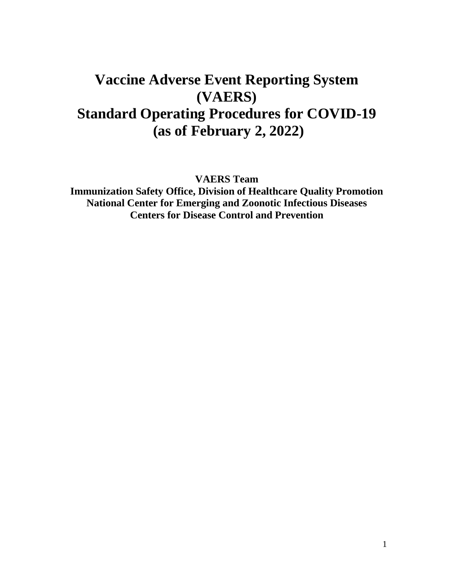# **Vaccine Adverse Event Reporting System (VAERS) Standard Operating Procedures for COVID-19 (as of February 2, 2022)**

**VAERS Team**

**Immunization Safety Office, Division of Healthcare Quality Promotion National Center for Emerging and Zoonotic Infectious Diseases Centers for Disease Control and Prevention**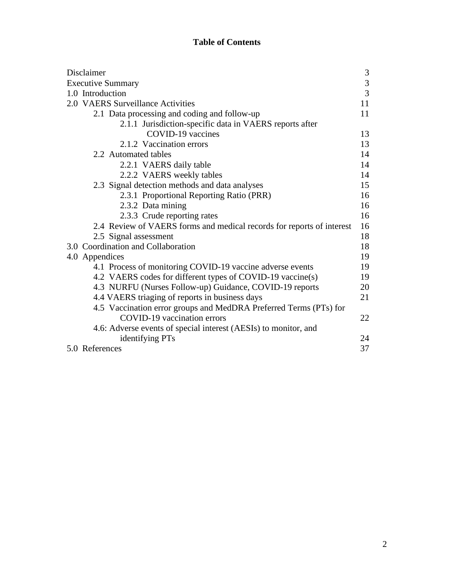### **Table of Contents**

| Disclaimer                                                            |                                            |
|-----------------------------------------------------------------------|--------------------------------------------|
| <b>Executive Summary</b>                                              | $\begin{array}{c} 3 \\ 3 \\ 3 \end{array}$ |
| 1.0 Introduction                                                      |                                            |
| 2.0 VAERS Surveillance Activities                                     | 11                                         |
| 2.1 Data processing and coding and follow-up                          | 11                                         |
| 2.1.1 Jurisdiction-specific data in VAERS reports after               |                                            |
| COVID-19 vaccines                                                     | 13                                         |
| 2.1.2 Vaccination errors                                              | 13                                         |
| 2.2 Automated tables                                                  | 14                                         |
| 2.2.1 VAERS daily table                                               | 14                                         |
| 2.2.2 VAERS weekly tables                                             | 14                                         |
| 2.3 Signal detection methods and data analyses                        | 15                                         |
| 2.3.1 Proportional Reporting Ratio (PRR)                              | 16                                         |
| 2.3.2 Data mining                                                     | 16                                         |
| 2.3.3 Crude reporting rates                                           | 16                                         |
| 2.4 Review of VAERS forms and medical records for reports of interest | 16                                         |
| 2.5 Signal assessment                                                 | 18                                         |
| 3.0 Coordination and Collaboration                                    | 18                                         |
| 4.0 Appendices                                                        | 19                                         |
| 4.1 Process of monitoring COVID-19 vaccine adverse events             | 19                                         |
| 4.2 VAERS codes for different types of COVID-19 vaccine(s)            | 19                                         |
| 4.3 NURFU (Nurses Follow-up) Guidance, COVID-19 reports               | 20                                         |
| 4.4 VAERS triaging of reports in business days                        | 21                                         |
| 4.5 Vaccination error groups and MedDRA Preferred Terms (PTs) for     |                                            |
| <b>COVID-19</b> vaccination errors                                    | 22                                         |
| 4.6: Adverse events of special interest (AESIs) to monitor, and       |                                            |
| identifying PTs                                                       | 24                                         |
| 5.0 References                                                        | 37                                         |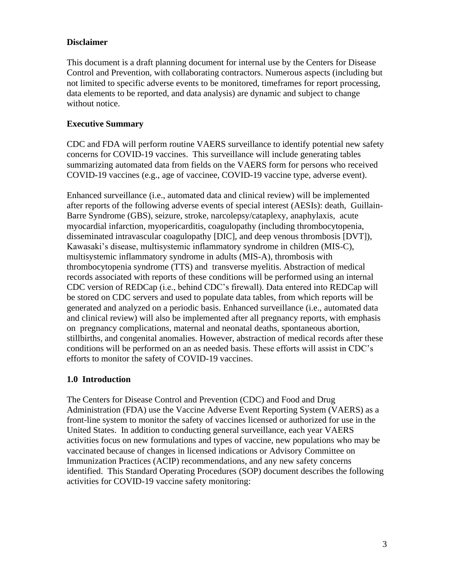#### **Disclaimer**

This document is a draft planning document for internal use by the Centers for Disease Control and Prevention, with collaborating contractors. Numerous aspects (including but not limited to specific adverse events to be monitored, timeframes for report processing, data elements to be reported, and data analysis) are dynamic and subject to change without notice.

#### **Executive Summary**

CDC and FDA will perform routine VAERS surveillance to identify potential new safety concerns for COVID-19 vaccines. This surveillance will include generating tables summarizing automated data from fields on the VAERS form for persons who received COVID-19 vaccines (e.g., age of vaccinee, COVID-19 vaccine type, adverse event).

Enhanced surveillance (i.e., automated data and clinical review) will be implemented after reports of the following adverse events of special interest (AESIs): death, Guillain-Barre Syndrome (GBS), seizure, stroke, narcolepsy/cataplexy, anaphylaxis, acute myocardial infarction, myopericarditis, coagulopathy (including thrombocytopenia, disseminated intravascular coagulopathy [DIC], and deep venous thrombosis [DVT]), Kawasaki's disease, multisystemic inflammatory syndrome in children (MIS-C), multisystemic inflammatory syndrome in adults (MIS-A), thrombosis with thrombocytopenia syndrome (TTS) and transverse myelitis. Abstraction of medical records associated with reports of these conditions will be performed using an internal CDC version of REDCap (i.e., behind CDC's firewall). Data entered into REDCap will be stored on CDC servers and used to populate data tables, from which reports will be generated and analyzed on a periodic basis. Enhanced surveillance (i.e., automated data and clinical review) will also be implemented after all pregnancy reports, with emphasis on pregnancy complications, maternal and neonatal deaths, spontaneous abortion, stillbirths, and congenital anomalies. However, abstraction of medical records after these conditions will be performed on an as needed basis. These efforts will assist in CDC's efforts to monitor the safety of COVID-19 vaccines.

#### **1.0 Introduction**

The Centers for Disease Control and Prevention (CDC) and Food and Drug Administration (FDA) use the Vaccine Adverse Event Reporting System (VAERS) as a front-line system to monitor the safety of vaccines licensed or authorized for use in the United States. In addition to conducting general surveillance, each year VAERS activities focus on new formulations and types of vaccine, new populations who may be vaccinated because of changes in licensed indications or Advisory Committee on Immunization Practices (ACIP) recommendations, and any new safety concerns identified. This Standard Operating Procedures (SOP) document describes the following activities for COVID-19 vaccine safety monitoring: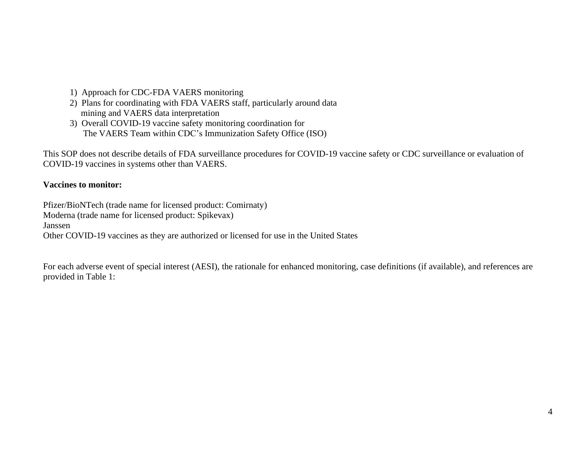- 1) Approach for CDC-FDA VAERS monitoring
- 2) Plans for coordinating with FDA VAERS staff, particularly around data mining and VAERS data interpretation
- 3) Overall COVID-19 vaccine safety monitoring coordination for The VAERS Team within CDC's Immunization Safety Office (ISO)

This SOP does not describe details of FDA surveillance procedures for COVID-19 vaccine safety or CDC surveillance or evaluation of COVID-19 vaccines in systems other than VAERS.

#### **Vaccines to monitor:**

Pfizer/BioNTech (trade name for licensed product: Comirnaty) Moderna (trade name for licensed product: Spikevax) Janssen Other COVID-19 vaccines as they are authorized or licensed for use in the United States

For each adverse event of special interest (AESI), the rationale for enhanced monitoring, case definitions (if available), and references are provided in Table 1: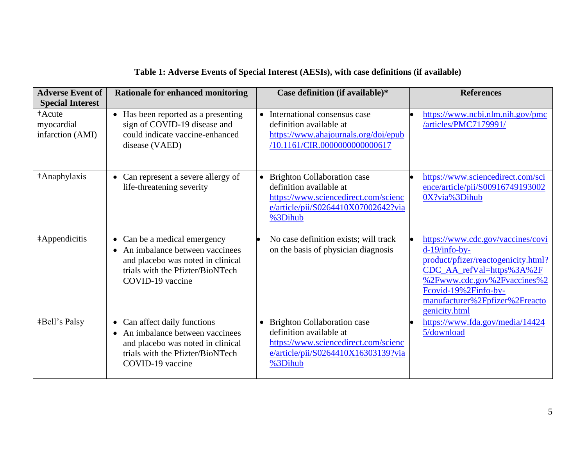| <b>Adverse Event of</b><br><b>Special Interest</b> | <b>Rationale for enhanced monitoring</b>                                                                                                                      | Case definition (if available)*                                                                                                                    | <b>References</b>                                                                                                                                                                                                                  |
|----------------------------------------------------|---------------------------------------------------------------------------------------------------------------------------------------------------------------|----------------------------------------------------------------------------------------------------------------------------------------------------|------------------------------------------------------------------------------------------------------------------------------------------------------------------------------------------------------------------------------------|
| +Acute<br>myocardial<br>infarction (AMI)           | • Has been reported as a presenting<br>sign of COVID-19 disease and<br>could indicate vaccine-enhanced<br>disease (VAED)                                      | • International consensus case<br>definition available at<br>https://www.ahajournals.org/doi/epub<br>/10.1161/CIR.0000000000000617                 | https://www.ncbi.nlm.nih.gov/pmc<br>/articles/PMC7179991/                                                                                                                                                                          |
| +Anaphylaxis                                       | Can represent a severe allergy of<br>life-threatening severity                                                                                                | • Brighton Collaboration case<br>definition available at<br>https://www.sciencedirect.com/scienc<br>e/article/pii/S0264410X07002642?via<br>%3Dihub | https://www.sciencedirect.com/sci<br>ence/article/pii/S00916749193002<br>0X?via%3Dihub                                                                                                                                             |
| #Appendicitis                                      | • Can be a medical emergency<br>• An imbalance between vaccinees<br>and placebo was noted in clinical<br>trials with the Pfizter/BioNTech<br>COVID-19 vaccine | No case definition exists; will track<br>on the basis of physician diagnosis                                                                       | https://www.cdc.gov/vaccines/covi<br>$d-19/info-by-$<br>product/pfizer/reactogenicity.html?<br>CDC_AA_refVal=https%3A%2F<br>%2Fwww.cdc.gov%2Fvaccines%2<br>Fcovid-19%2Finfo-by-<br>manufacturer%2Fpfizer%2Freacto<br>genicity.html |
| <b>‡Bell's Palsy</b>                               | • Can affect daily functions<br>• An imbalance between vaccinees<br>and placebo was noted in clinical<br>trials with the Pfizter/BioNTech<br>COVID-19 vaccine | • Brighton Collaboration case<br>definition available at<br>https://www.sciencedirect.com/scienc<br>e/article/pii/S0264410X16303139?via<br>%3Dihub | https://www.fda.gov/media/14424<br>5/download                                                                                                                                                                                      |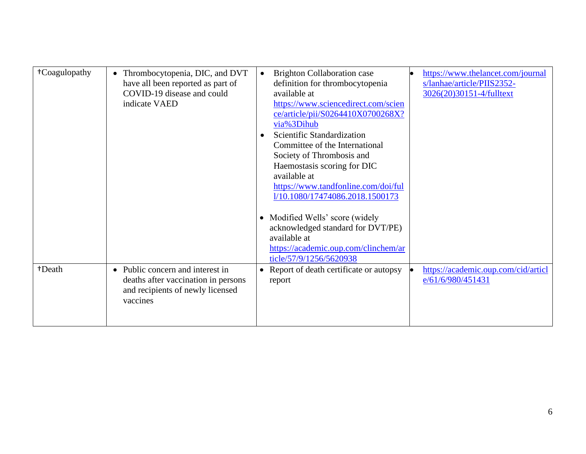| <sup>†</sup> Coagulopathy | Thrombocytopenia, DIC, and DVT              | <b>Brighton Collaboration case</b><br>$\bullet$ | https://www.thelancet.com/journal   |
|---------------------------|---------------------------------------------|-------------------------------------------------|-------------------------------------|
|                           | have all been reported as part of           | definition for thrombocytopenia                 | s/lanhae/article/PIIS2352-          |
|                           | COVID-19 disease and could                  | available at                                    | 3026(20)30151-4/fulltext            |
|                           | indicate VAED                               | https://www.sciencedirect.com/scien             |                                     |
|                           |                                             | ce/article/pii/S0264410X0700268X?               |                                     |
|                           |                                             | via%3Dihub                                      |                                     |
|                           |                                             | Scientific Standardization                      |                                     |
|                           |                                             | Committee of the International                  |                                     |
|                           |                                             | Society of Thrombosis and                       |                                     |
|                           |                                             | Haemostasis scoring for DIC                     |                                     |
|                           |                                             | available at                                    |                                     |
|                           |                                             | https://www.tandfonline.com/doi/ful             |                                     |
|                           |                                             | 1/10.1080/17474086.2018.1500173                 |                                     |
|                           |                                             |                                                 |                                     |
|                           |                                             | • Modified Wells' score (widely                 |                                     |
|                           |                                             |                                                 |                                     |
|                           |                                             | acknowledged standard for DVT/PE)               |                                     |
|                           |                                             | available at                                    |                                     |
|                           |                                             | https://academic.oup.com/clinchem/ar            |                                     |
|                           |                                             | ticle/57/9/1256/5620938                         |                                     |
| +Death                    | Public concern and interest in<br>$\bullet$ | Report of death certificate or autopsy          | https://academic.oup.com/cid/articl |
|                           | deaths after vaccination in persons         | report                                          | e/61/6/980/451431                   |
|                           | and recipients of newly licensed            |                                                 |                                     |
|                           | vaccines                                    |                                                 |                                     |
|                           |                                             |                                                 |                                     |
|                           |                                             |                                                 |                                     |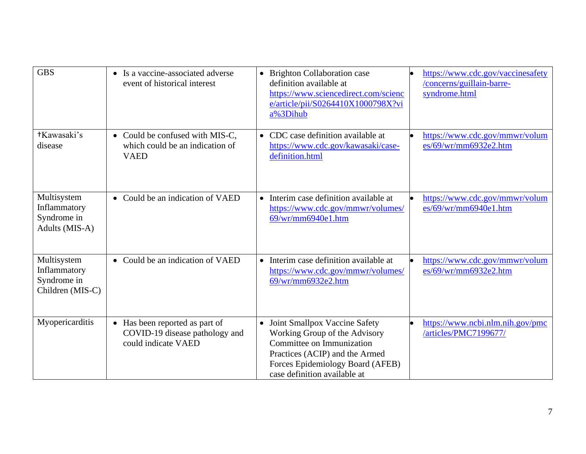| <b>GBS</b>                                                     | • Is a vaccine-associated adverse<br>event of historical interest                                  | • Brighton Collaboration case<br>definition available at<br>https://www.sciencedirect.com/scienc<br>e/article/pii/S0264410X1000798X?vi<br>a%3Dihub                                                  | https://www.cdc.gov/vaccinesafety<br>/concerns/guillain-barre-<br>syndrome.html |
|----------------------------------------------------------------|----------------------------------------------------------------------------------------------------|-----------------------------------------------------------------------------------------------------------------------------------------------------------------------------------------------------|---------------------------------------------------------------------------------|
| +Kawasaki's<br>disease                                         | • Could be confused with MIS-C,<br>which could be an indication of<br><b>VAED</b>                  | • CDC case definition available at<br>https://www.cdc.gov/kawasaki/case-<br>definition.html                                                                                                         | https://www.cdc.gov/mmwr/volum<br>es/69/wr/mm6932e2.htm                         |
| Multisystem<br>Inflammatory<br>Syndrome in<br>Adults (MIS-A)   | • Could be an indication of VAED                                                                   | • Interim case definition available at<br>https://www.cdc.gov/mmwr/volumes/<br>69/wr/mm6940e1.htm                                                                                                   | https://www.cdc.gov/mmwr/volum<br>es/69/wr/mm6940e1.htm                         |
| Multisystem<br>Inflammatory<br>Syndrome in<br>Children (MIS-C) | Could be an indication of VAED<br>$\bullet$                                                        | • Interim case definition available at<br>https://www.cdc.gov/mmwr/volumes/<br>69/wr/mm6932e2.htm                                                                                                   | https://www.cdc.gov/mmwr/volum<br>es/69/wr/mm6932e2.htm                         |
| Myopericarditis                                                | Has been reported as part of<br>$\bullet$<br>COVID-19 disease pathology and<br>could indicate VAED | • Joint Smallpox Vaccine Safety<br>Working Group of the Advisory<br>Committee on Immunization<br>Practices (ACIP) and the Armed<br>Forces Epidemiology Board (AFEB)<br>case definition available at | https://www.ncbi.nlm.nih.gov/pmc<br>/articles/PMC7199677/                       |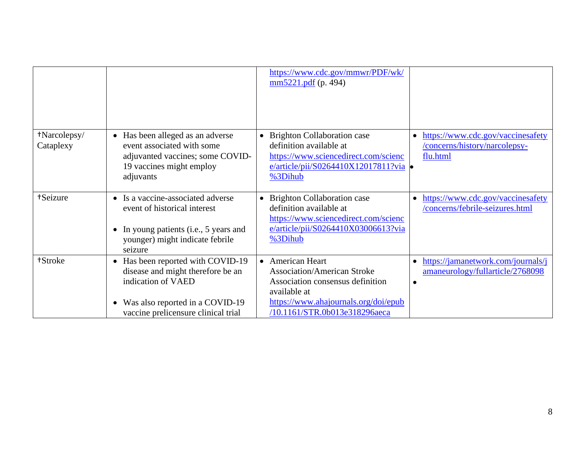|                           |                                                                                                                                                                                                | https://www.cdc.gov/mmwr/PDF/wk/<br>$\frac{\text{mm5221.pdf}}{(\text{p. 494})}$                                                                                                     |                                                                                |
|---------------------------|------------------------------------------------------------------------------------------------------------------------------------------------------------------------------------------------|-------------------------------------------------------------------------------------------------------------------------------------------------------------------------------------|--------------------------------------------------------------------------------|
| +Narcolepsy/<br>Cataplexy | • Has been alleged as an adverse<br>event associated with some<br>adjuvanted vaccines; some COVID-<br>19 vaccines might employ<br>adjuvants                                                    | • Brighton Collaboration case<br>definition available at<br>https://www.sciencedirect.com/scienc<br>e/article/pii/S0264410X12017811?via .<br>%3Dihub                                | https://www.cdc.gov/vaccinesafety<br>/concerns/history/narcolepsy-<br>flu.html |
| +Seizure                  | Is a vaccine-associated adverse<br>event of historical interest<br>In young patients (i.e., 5 years and<br>younger) might indicate febrile<br>seizure                                          | • Brighton Collaboration case<br>definition available at<br>https://www.sciencedirect.com/scienc<br>e/article/pii/S0264410X03006613?via<br>%3Dihub                                  | https://www.cdc.gov/vaccinesafety<br>/concerns/febrile-seizures.html           |
| +Stroke                   | Has been reported with COVID-19<br>$\bullet$<br>disease and might therefore be an<br>indication of VAED<br>Was also reported in a COVID-19<br>$\bullet$<br>vaccine prelicensure clinical trial | • American Heart<br><b>Association/American Stroke</b><br>Association consensus definition<br>available at<br>https://www.ahajournals.org/doi/epub<br>/10.1161/STR.0b013e318296aeca | https://jamanetwork.com/journals/j<br>amaneurology/fullarticle/2768098         |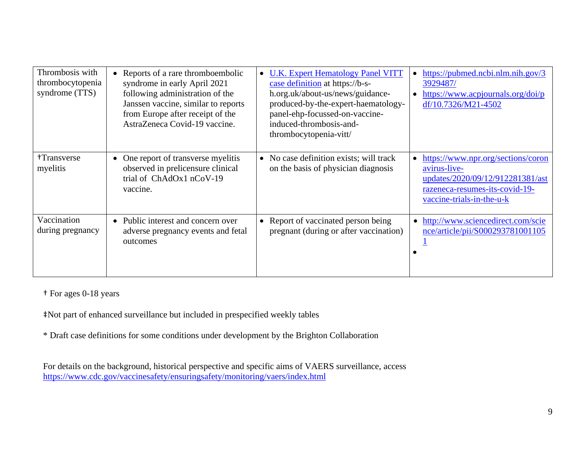| Thrombosis with<br>thrombocytopenia<br>syndrome (TTS) | Reports of a rare thromboembolic<br>syndrome in early April 2021<br>following administration of the<br>Janssen vaccine, similar to reports<br>from Europe after receipt of the<br>AstraZeneca Covid-19 vaccine. | <b>U.K. Expert Hematology Panel VITT</b><br>case definition at https://b-s-<br>h.org.uk/about-us/news/guidance-<br>produced-by-the-expert-haematology-<br>panel-ehp-focussed-on-vaccine-<br>induced-thrombosis-and-<br>thrombocytopenia-vitt/ | https://pubmed.ncbi.nlm.nih.gov/3<br>3929487/<br>https://www.acpjournals.org/doi/p<br>df/10.7326/M21-4502                                             |
|-------------------------------------------------------|-----------------------------------------------------------------------------------------------------------------------------------------------------------------------------------------------------------------|-----------------------------------------------------------------------------------------------------------------------------------------------------------------------------------------------------------------------------------------------|-------------------------------------------------------------------------------------------------------------------------------------------------------|
| +Transverse<br>myelitis                               | • One report of transverse myelitis<br>observed in prelicensure clinical<br>trial of ChAdOx1 nCoV-19<br>vaccine.                                                                                                | • No case definition exists; will track<br>on the basis of physician diagnosis                                                                                                                                                                | https://www.npr.org/sections/coron<br>avirus-live-<br>updates/2020/09/12/912281381/ast<br>razeneca-resumes-its-covid-19-<br>vaccine-trials-in-the-u-k |
| Vaccination<br>during pregnancy                       | • Public interest and concern over<br>adverse pregnancy events and fetal<br>outcomes                                                                                                                            | • Report of vaccinated person being<br>pregnant (during or after vaccination)                                                                                                                                                                 | • http://www.sciencedirect.com/scie<br>nce/article/pii/S000293781001105                                                                               |

† For ages 0-18 years

‡Not part of enhanced surveillance but included in prespecified weekly tables

\* Draft case definitions for some conditions under development by the Brighton Collaboration

For details on the background, historical perspective and specific aims of VAERS surveillance, access <https://www.cdc.gov/vaccinesafety/ensuringsafety/monitoring/vaers/index.html>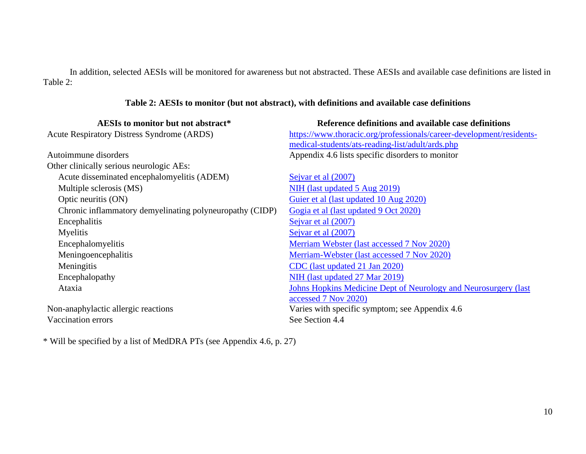In addition, selected AESIs will be monitored for awareness but not abstracted. These AESIs and available case definitions are listed in Table 2:

#### **Table 2: AESIs to monitor (but not abstract), with definitions and available case definitions**

| AESIs to monitor but not abstract*                       | Reference definitions and available case definitions                   |
|----------------------------------------------------------|------------------------------------------------------------------------|
| <b>Acute Respiratory Distress Syndrome (ARDS)</b>        | https://www.thoracic.org/professionals/career-development/residents-   |
|                                                          | medical-students/ats-reading-list/adult/ards.php                       |
| Autoimmune disorders                                     | Appendix 4.6 lists specific disorders to monitor                       |
| Other clinically serious neurologic AEs:                 |                                                                        |
| Acute disseminated encephalomyelitis (ADEM)              | Sejvar et al (2007)                                                    |
| Multiple sclerosis (MS)                                  | NIH (last updated 5 Aug 2019)                                          |
| Optic neuritis (ON)                                      | Guier et al (last updated 10 Aug 2020)                                 |
| Chronic inflammatory demyelinating polyneuropathy (CIDP) | Gogia et al (last updated 9 Oct 2020)                                  |
| Encephalitis                                             | Sejvar et al (2007)                                                    |
| Myelitis                                                 | Sejvar et al (2007)                                                    |
| Encephalomyelitis                                        | Merriam Webster (last accessed 7 Nov 2020)                             |
| Meningoencephalitis                                      | Merriam-Webster (last accessed 7 Nov 2020)                             |
| Meningitis                                               | CDC (last updated 21 Jan 2020)                                         |
| Encephalopathy                                           | NIH (last updated 27 Mar 2019)                                         |
| Ataxia                                                   | <b>Johns Hopkins Medicine Dept of Neurology and Neurosurgery (last</b> |
|                                                          | accessed 7 Nov 2020)                                                   |
| Non-anaphylactic allergic reactions                      | Varies with specific symptom; see Appendix 4.6                         |
| Vaccination errors                                       | See Section 4.4                                                        |

\* Will be specified by a list of MedDRA PTs (see Appendix 4.6, p. 27)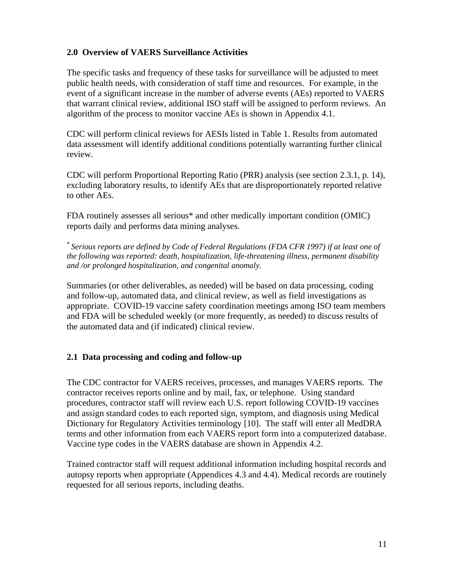### **2.0 Overview of VAERS Surveillance Activities**

The specific tasks and frequency of these tasks for surveillance will be adjusted to meet public health needs, with consideration of staff time and resources. For example, in the event of a significant increase in the number of adverse events (AEs) reported to VAERS that warrant clinical review, additional ISO staff will be assigned to perform reviews. An algorithm of the process to monitor vaccine AEs is shown in Appendix 4.1.

CDC will perform clinical reviews for AESIs listed in Table 1. Results from automated data assessment will identify additional conditions potentially warranting further clinical review.

CDC will perform Proportional Reporting Ratio (PRR) analysis (see section 2.3.1, p. 14), excluding laboratory results, to identify AEs that are disproportionately reported relative to other AEs.

FDA routinely assesses all serious\* and other medically important condition (OMIC) reports daily and performs data mining analyses.

\* *Serious reports are defined by Code of Federal Regulations (FDA CFR 1997) if at least one of the following was reported: death, hospitalization, life-threatening illness, permanent disability and /or prolonged hospitalization, and congenital anomaly.*

Summaries (or other deliverables, as needed) will be based on data processing, coding and follow-up, automated data, and clinical review, as well as field investigations as appropriate. COVID-19 vaccine safety coordination meetings among ISO team members and FDA will be scheduled weekly (or more frequently, as needed) to discuss results of the automated data and (if indicated) clinical review.

#### **2.1 Data processing and coding and follow-up**

The CDC contractor for VAERS receives, processes, and manages VAERS reports. The contractor receives reports online and by mail, fax, or telephone. Using standard procedures, contractor staff will review each U.S. report following COVID-19 vaccines and assign standard codes to each reported sign, symptom, and diagnosis using Medical Dictionary for Regulatory Activities terminology [10]. The staff will enter all MedDRA terms and other information from each VAERS report form into a computerized database. Vaccine type codes in the VAERS database are shown in Appendix 4.2.

Trained contractor staff will request additional information including hospital records and autopsy reports when appropriate (Appendices 4.3 and 4.4). Medical records are routinely requested for all serious reports, including deaths.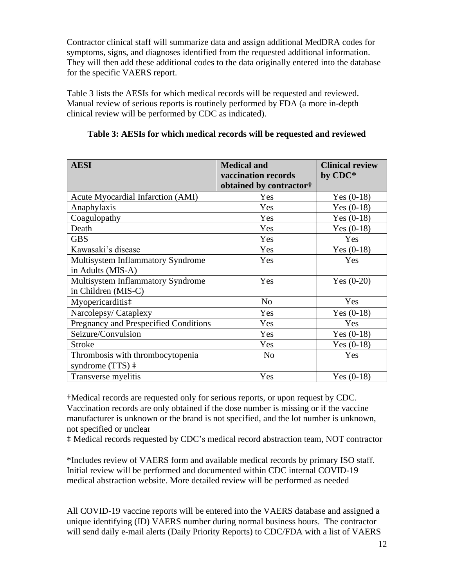Contractor clinical staff will summarize data and assign additional MedDRA codes for symptoms, signs, and diagnoses identified from the requested additional information. They will then add these additional codes to the data originally entered into the database for the specific VAERS report.

Table 3 lists the AESIs for which medical records will be requested and reviewed. Manual review of serious reports is routinely performed by FDA (a more in-depth clinical review will be performed by CDC as indicated).

| <b>AESI</b>                                  | <b>Medical and</b>                  | <b>Clinical review</b> |
|----------------------------------------------|-------------------------------------|------------------------|
|                                              | vaccination records                 | by CDC*                |
|                                              | obtained by contractor <sup>+</sup> |                        |
| Acute Myocardial Infarction (AMI)            | Yes                                 | Yes $(0-18)$           |
| Anaphylaxis                                  | Yes                                 | Yes $(0-18)$           |
| Coagulopathy                                 | Yes                                 | Yes $(0-18)$           |
| Death                                        | Yes                                 | Yes $(0-18)$           |
| <b>GBS</b>                                   | Yes                                 | Yes                    |
| Kawasaki's disease                           | Yes                                 | Yes $(0-18)$           |
| Multisystem Inflammatory Syndrome            | Yes                                 | Yes                    |
| in Adults (MIS-A)                            |                                     |                        |
| <b>Multisystem Inflammatory Syndrome</b>     | Yes                                 | Yes $(0-20)$           |
| in Children (MIS-C)                          |                                     |                        |
| Myopericarditis <sup>‡</sup>                 | N <sub>o</sub>                      | Yes                    |
| Narcolepsy/Cataplexy                         | Yes                                 | Yes $(0-18)$           |
| <b>Pregnancy and Prespecified Conditions</b> | Yes                                 | Yes                    |
| Seizure/Convulsion                           | Yes                                 | Yes $(0-18)$           |
| <b>Stroke</b>                                | Yes                                 | Yes $(0-18)$           |
| Thrombosis with thrombocytopenia             | N <sub>o</sub>                      | Yes                    |
| syndrome $(TTS)$ $\ddagger$                  |                                     |                        |
| Transverse myelitis                          | Yes                                 | Yes $(0-18)$           |

### **Table 3: AESIs for which medical records will be requested and reviewed**

†Medical records are requested only for serious reports, or upon request by CDC. Vaccination records are only obtained if the dose number is missing or if the vaccine manufacturer is unknown or the brand is not specified, and the lot number is unknown, not specified or unclear

‡ Medical records requested by CDC's medical record abstraction team, NOT contractor

\*Includes review of VAERS form and available medical records by primary ISO staff. Initial review will be performed and documented within CDC internal COVID-19 medical abstraction website. More detailed review will be performed as needed

All COVID-19 vaccine reports will be entered into the VAERS database and assigned a unique identifying (ID) VAERS number during normal business hours. The contractor will send daily e-mail alerts (Daily Priority Reports) to CDC/FDA with a list of VAERS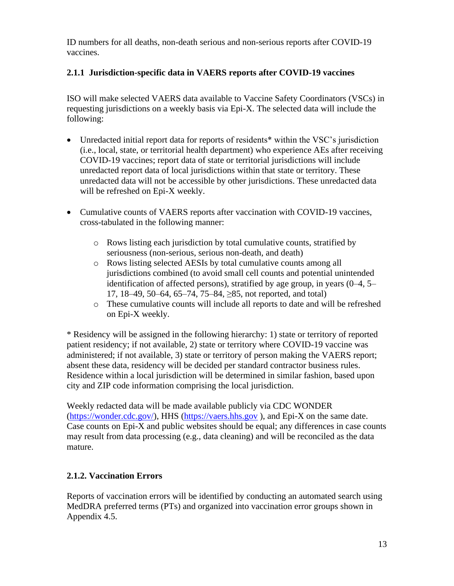ID numbers for all deaths, non-death serious and non-serious reports after COVID-19 vaccines.

### **2.1.1 Jurisdiction-specific data in VAERS reports after COVID-19 vaccines**

ISO will make selected VAERS data available to Vaccine Safety Coordinators (VSCs) in requesting jurisdictions on a weekly basis via Epi-X. The selected data will include the following:

- Unredacted initial report data for reports of residents<sup>\*</sup> within the VSC's jurisdiction (i.e., local, state, or territorial health department) who experience AEs after receiving COVID-19 vaccines; report data of state or territorial jurisdictions will include unredacted report data of local jurisdictions within that state or territory. These unredacted data will not be accessible by other jurisdictions. These unredacted data will be refreshed on Epi-X weekly.
- Cumulative counts of VAERS reports after vaccination with COVID-19 vaccines, cross-tabulated in the following manner:
	- o Rows listing each jurisdiction by total cumulative counts, stratified by seriousness (non-serious, serious non-death, and death)
	- o Rows listing selected AESIs by total cumulative counts among all jurisdictions combined (to avoid small cell counts and potential unintended identification of affected persons), stratified by age group, in years (0–4, 5– 17, 18–49, 50–64, 65–74, 75–84, ≥85, not reported, and total)
	- o These cumulative counts will include all reports to date and will be refreshed on Epi-X weekly.

\* Residency will be assigned in the following hierarchy: 1) state or territory of reported patient residency; if not available, 2) state or territory where COVID-19 vaccine was administered; if not available, 3) state or territory of person making the VAERS report; absent these data, residency will be decided per standard contractor business rules. Residence within a local jurisdiction will be determined in similar fashion, based upon city and ZIP code information comprising the local jurisdiction.

Weekly redacted data will be made available publicly via CDC WONDER [\(https://wonder.cdc.gov/\)](https://wonder.cdc.gov/), HHS [\(https://vaers.hhs.gov](https://vaers.hhs.gov/) ), and Epi-X on the same date. Case counts on Epi-X and public websites should be equal; any differences in case counts may result from data processing (e.g., data cleaning) and will be reconciled as the data mature.

#### **2.1.2. Vaccination Errors**

Reports of vaccination errors will be identified by conducting an automated search using MedDRA preferred terms (PTs) and organized into vaccination error groups shown in Appendix 4.5.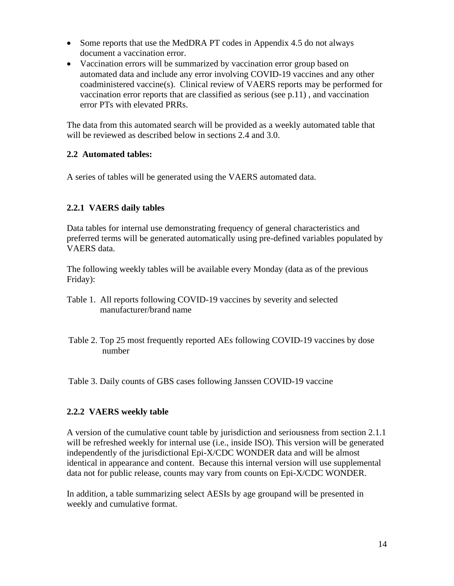- Some reports that use the MedDRA PT codes in Appendix 4.5 do not always document a vaccination error.
- Vaccination errors will be summarized by vaccination error group based on automated data and include any error involving COVID-19 vaccines and any other coadministered vaccine(s). Clinical review of VAERS reports may be performed for vaccination error reports that are classified as serious (see p.11) , and vaccination error PTs with elevated PRRs.

The data from this automated search will be provided as a weekly automated table that will be reviewed as described below in sections 2.4 and 3.0.

### **2.2 Automated tables:**

A series of tables will be generated using the VAERS automated data.

### **2.2.1 VAERS daily tables**

Data tables for internal use demonstrating frequency of general characteristics and preferred terms will be generated automatically using pre-defined variables populated by VAERS data.

The following weekly tables will be available every Monday (data as of the previous Friday):

- Table 1. All reports following COVID-19 vaccines by severity and selected manufacturer/brand name
- Table 2. Top 25 most frequently reported AEs following COVID-19 vaccines by dose number

Table 3. Daily counts of GBS cases following Janssen COVID-19 vaccine

#### **2.2.2 VAERS weekly table**

A version of the cumulative count table by jurisdiction and seriousness from section 2.1.1 will be refreshed weekly for internal use (i.e., inside ISO). This version will be generated independently of the jurisdictional Epi-X/CDC WONDER data and will be almost identical in appearance and content. Because this internal version will use supplemental data not for public release, counts may vary from counts on Epi-X/CDC WONDER.

In addition, a table summarizing select AESIs by age groupand will be presented in weekly and cumulative format.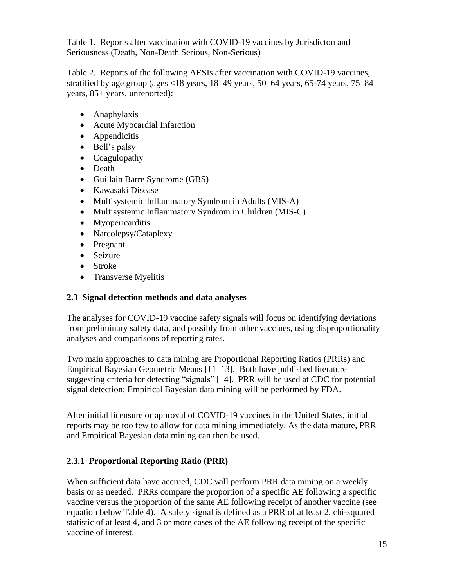Table 1. Reports after vaccination with COVID-19 vaccines by Jurisdicton and Seriousness (Death, Non-Death Serious, Non-Serious)

Table 2. Reports of the following AESIs after vaccination with COVID-19 vaccines, stratified by age group (ages <18 years, 18–49 years, 50–64 years, 65-74 years, 75–84 years, 85+ years, unreported):

- Anaphylaxis
- Acute Myocardial Infarction
- Appendicitis
- Bell's palsy
- Coagulopathy
- Death
- Guillain Barre Syndrome (GBS)
- Kawasaki Disease
- Multisystemic Inflammatory Syndrom in Adults (MIS-A)
- Multisystemic Inflammatory Syndrom in Children (MIS-C)
- Myopericarditis
- Narcolepsy/Cataplexy
- Pregnant
- Seizure
- Stroke
- Transverse Myelitis

#### **2.3 Signal detection methods and data analyses**

The analyses for COVID-19 vaccine safety signals will focus on identifying deviations from preliminary safety data, and possibly from other vaccines, using disproportionality analyses and comparisons of reporting rates.

Two main approaches to data mining are Proportional Reporting Ratios (PRRs) and Empirical Bayesian Geometric Means [11–13]. Both have published literature suggesting criteria for detecting "signals" [14]. PRR will be used at CDC for potential signal detection; Empirical Bayesian data mining will be performed by FDA.

After initial licensure or approval of COVID-19 vaccines in the United States, initial reports may be too few to allow for data mining immediately. As the data mature, PRR and Empirical Bayesian data mining can then be used.

### **2.3.1 Proportional Reporting Ratio (PRR)**

When sufficient data have accrued, CDC will perform PRR data mining on a weekly basis or as needed. PRRs compare the proportion of a specific AE following a specific vaccine versus the proportion of the same AE following receipt of another vaccine (see equation below Table 4). A safety signal is defined as a PRR of at least 2, chi-squared statistic of at least 4, and 3 or more cases of the AE following receipt of the specific vaccine of interest.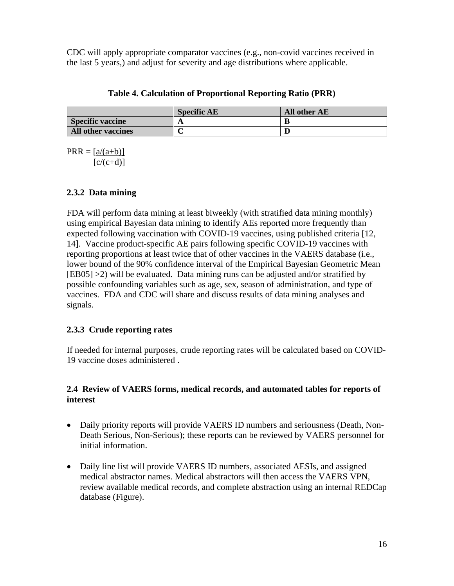CDC will apply appropriate comparator vaccines (e.g., non-covid vaccines received in the last 5 years,) and adjust for severity and age distributions where applicable.

|                         | <b>Specific AE</b> | All other AE |
|-------------------------|--------------------|--------------|
| <b>Specific vaccine</b> | л                  | B            |

**All other vaccines C D**

**Table 4. Calculation of Proportional Reporting Ratio (PRR)**

 $PRR = [a/(a+b)]$  $[c/(c+d)]$ 

### **2.3.2 Data mining**

FDA will perform data mining at least biweekly (with stratified data mining monthly) using empirical Bayesian data mining to identify AEs reported more frequently than expected following vaccination with COVID-19 vaccines, using published criteria [12, 14]. Vaccine product-specific AE pairs following specific COVID-19 vaccines with reporting proportions at least twice that of other vaccines in the VAERS database (i.e., lower bound of the 90% confidence interval of the Empirical Bayesian Geometric Mean [EB05] >2) will be evaluated. Data mining runs can be adjusted and/or stratified by possible confounding variables such as age, sex, season of administration, and type of vaccines. FDA and CDC will share and discuss results of data mining analyses and signals.

### **2.3.3 Crude reporting rates**

If needed for internal purposes, crude reporting rates will be calculated based on COVID-19 vaccine doses administered .

#### **2.4 Review of VAERS forms, medical records, and automated tables for reports of interest**

- Daily priority reports will provide VAERS ID numbers and seriousness (Death, Non-Death Serious, Non-Serious); these reports can be reviewed by VAERS personnel for initial information.
- Daily line list will provide VAERS ID numbers, associated AESIs, and assigned medical abstractor names. Medical abstractors will then access the VAERS VPN, review available medical records, and complete abstraction using an internal REDCap database (Figure).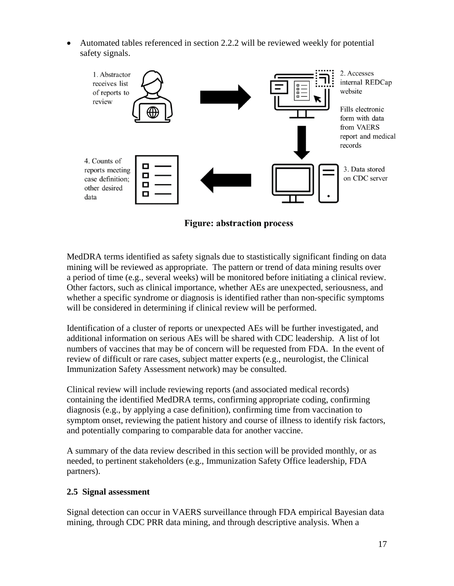• Automated tables referenced in section 2.2.2 will be reviewed weekly for potential safety signals.



**Figure: abstraction process** 

MedDRA terms identified as safety signals due to stastistically significant finding on data mining will be reviewed as appropriate. The pattern or trend of data mining results over a period of time (e.g., several weeks) will be monitored before initiating a clinical review. Other factors, such as clinical importance, whether AEs are unexpected, seriousness, and whether a specific syndrome or diagnosis is identified rather than non-specific symptoms will be considered in determining if clinical review will be performed.

Identification of a cluster of reports or unexpected AEs will be further investigated, and additional information on serious AEs will be shared with CDC leadership. A list of lot numbers of vaccines that may be of concern will be requested from FDA. In the event of review of difficult or rare cases, subject matter experts (e.g., neurologist, the Clinical Immunization Safety Assessment network) may be consulted.

Clinical review will include reviewing reports (and associated medical records) containing the identified MedDRA terms, confirming appropriate coding, confirming diagnosis (e.g., by applying a case definition), confirming time from vaccination to symptom onset, reviewing the patient history and course of illness to identify risk factors, and potentially comparing to comparable data for another vaccine.

A summary of the data review described in this section will be provided monthly, or as needed, to pertinent stakeholders (e.g., Immunization Safety Office leadership, FDA partners).

#### **2.5 Signal assessment**

Signal detection can occur in VAERS surveillance through FDA empirical Bayesian data mining, through CDC PRR data mining, and through descriptive analysis. When a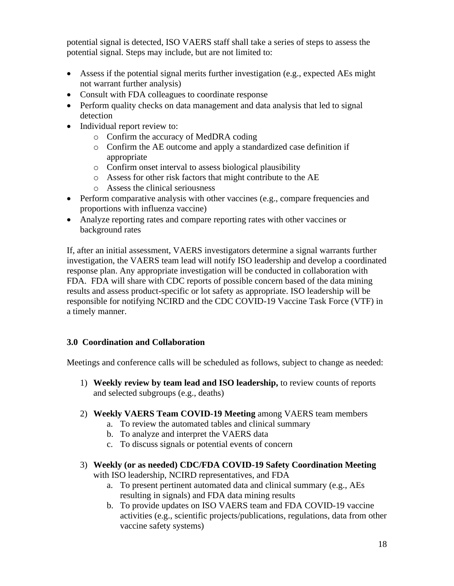potential signal is detected, ISO VAERS staff shall take a series of steps to assess the potential signal. Steps may include, but are not limited to:

- Assess if the potential signal merits further investigation (e.g., expected AEs might not warrant further analysis)
- Consult with FDA colleagues to coordinate response
- Perform quality checks on data management and data analysis that led to signal detection
- Individual report review to:
	- o Confirm the accuracy of MedDRA coding
	- o Confirm the AE outcome and apply a standardized case definition if appropriate
	- o Confirm onset interval to assess biological plausibility
	- o Assess for other risk factors that might contribute to the AE
	- o Assess the clinical seriousness
- Perform comparative analysis with other vaccines (e.g., compare frequencies and proportions with influenza vaccine)
- Analyze reporting rates and compare reporting rates with other vaccines or background rates

If, after an initial assessment, VAERS investigators determine a signal warrants further investigation, the VAERS team lead will notify ISO leadership and develop a coordinated response plan. Any appropriate investigation will be conducted in collaboration with FDA. FDA will share with CDC reports of possible concern based of the data mining results and assess product-specific or lot safety as appropriate. ISO leadership will be responsible for notifying NCIRD and the CDC COVID-19 Vaccine Task Force (VTF) in a timely manner.

#### **3.0 Coordination and Collaboration**

Meetings and conference calls will be scheduled as follows, subject to change as needed:

- 1) **Weekly review by team lead and ISO leadership,** to review counts of reports and selected subgroups (e.g., deaths)
- 2) **Weekly VAERS Team COVID-19 Meeting** among VAERS team members
	- a. To review the automated tables and clinical summary
	- b. To analyze and interpret the VAERS data
	- c. To discuss signals or potential events of concern
- 3) **Weekly (or as needed) CDC/FDA COVID-19 Safety Coordination Meeting** with ISO leadership, NCIRD representatives, and FDA
	- a. To present pertinent automated data and clinical summary (e.g., AEs resulting in signals) and FDA data mining results
	- b. To provide updates on ISO VAERS team and FDA COVID-19 vaccine activities (e.g., scientific projects/publications, regulations, data from other vaccine safety systems)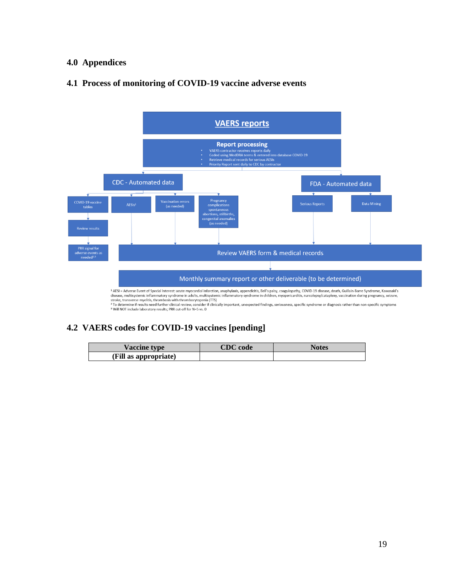#### **4.0 Appendices**

### **4.1 Process of monitoring of COVID-19 vaccine adverse events**



#### **4.2 VAERS codes for COVID-19 vaccines [pending]**

| <b>Vaccine type</b>   | $\mathbb{C}\mathbf{D}\mathbf{C}$ code | <b>Notes</b> |
|-----------------------|---------------------------------------|--------------|
| (Fill as appropriate) |                                       |              |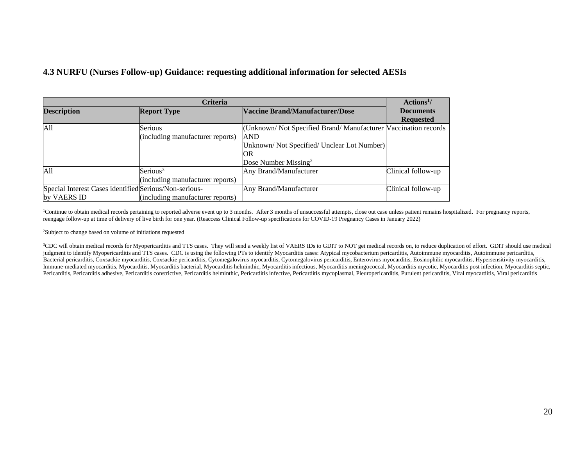#### **4.3 NURFU (Nurses Follow-up) Guidance: requesting additional information for selected AESIs**

| <b>Criteria</b>                                        |                                                              |                                                                | Actions <sup>1</sup> / |
|--------------------------------------------------------|--------------------------------------------------------------|----------------------------------------------------------------|------------------------|
| <b>Description</b>                                     | <b>Vaccine Brand/Manufacturer/Dose</b><br><b>Report Type</b> |                                                                | <b>Documents</b>       |
|                                                        |                                                              |                                                                | <b>Requested</b>       |
| A11                                                    | Serious                                                      | (Unknown/Not Specified Brand/Manufacturer Vaccination records) |                        |
|                                                        | (including manufacturer reports)                             | <b>AND</b>                                                     |                        |
|                                                        |                                                              | Unknown/Not Specified/Unclear Lot Number)                      |                        |
|                                                        |                                                              | OR                                                             |                        |
|                                                        |                                                              | Dose Number Missing <sup>2</sup>                               |                        |
| A11                                                    | Serious <sup>3</sup>                                         | Any Brand/Manufacturer                                         | Clinical follow-up     |
|                                                        | (including manufacturer reports)                             |                                                                |                        |
| Special Interest Cases identified Serious/Non-serious- |                                                              | Any Brand/Manufacturer                                         | Clinical follow-up     |
| by VAERS ID                                            | (including manufacturer reports)                             |                                                                |                        |

<sup>1</sup>Continue to obtain medical records pertaining to reported adverse event up to 3 months. After 3 months of unsuccessful attempts, close out case unless patient remains hospitalized. For pregnancy reports, reengage follow-up at time of delivery of live birth for one year. (Reaccess Clinical Follow-up specifications for COVID-19 Pregnancy Cases in January 2022)

<sup>2</sup>Subject to change based on volume of initiations requested

<sup>3</sup>CDC will obtain medical records for Myopericarditis and TTS cases. They will send a weekly list of VAERS IDs to GDIT to NOT get medical records on, to reduce duplication of effort. GDIT should use medical judgment to identify Myopericarditis and TTS cases. CDC is using the following PTs to identify Myocarditis cases: Atypical mycobacterium pericarditis, Autoimmune myocarditis, Autoimmune pericarditis, Bacterial pericarditis, Coxsackie myocarditis, Coxsackie pericarditis, Cytomegalovirus myocarditis, Cytomegalovirus pericarditis, Enterovirus myocarditis, Eosinophilic myocarditis, Hypersensitivity myocarditis, Immune-mediated myocarditis, Myocarditis, Myocarditis bacterial, Myocarditis helminthic, Myocarditis infectious, Myocarditis meningococcal, Myocarditis mycotic, Myocarditis post infection, Myocarditis septic, Pericarditis, Pericarditis adhesive, Pericarditis constrictive, Pericarditis helminthic, Pericarditis infective, Pericarditis mycoplasmal, Pleuropericarditis, Purulent pericarditis, Viral myocarditis, Viral pericarditis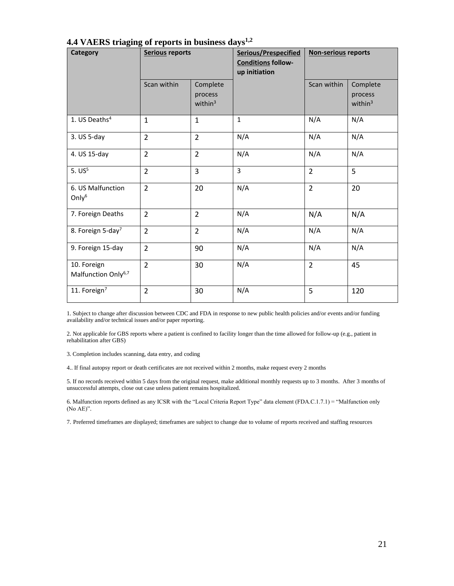| <b>Category</b>                                | Serious reports |                                   | Serious/Prespecified<br><b>Conditions follow-</b><br>up initiation | <b>Non-serious reports</b> |                                   |
|------------------------------------------------|-----------------|-----------------------------------|--------------------------------------------------------------------|----------------------------|-----------------------------------|
|                                                | Scan within     | Complete<br>process<br>within $3$ |                                                                    | Scan within                | Complete<br>process<br>within $3$ |
| 1. US Deaths <sup>4</sup>                      | $\mathbf{1}$    | $\mathbf{1}$                      | $\mathbf{1}$                                                       | N/A                        | N/A                               |
| 3. US 5-day                                    | $\overline{2}$  | $\overline{2}$                    | N/A                                                                | N/A                        | N/A                               |
| 4. US 15-day                                   | $\overline{2}$  | $\overline{2}$                    | N/A                                                                | N/A                        | N/A                               |
| $5. US^5$                                      | $\overline{2}$  | 3                                 | $\overline{3}$                                                     | $\overline{2}$             | 5                                 |
| 6. US Malfunction<br>Only $6$                  | $\overline{2}$  | 20                                | N/A                                                                | $\overline{2}$             | 20                                |
| 7. Foreign Deaths                              | $\overline{2}$  | $\overline{2}$                    | N/A                                                                | N/A                        | N/A                               |
| 8. Foreign 5-day <sup>7</sup>                  | $\overline{2}$  | $\overline{2}$                    | N/A                                                                | N/A                        | N/A                               |
| 9. Foreign 15-day                              | $\overline{2}$  | 90                                | N/A                                                                | N/A                        | N/A                               |
| 10. Foreign<br>Malfunction Only <sup>6,7</sup> | $\overline{2}$  | 30                                | N/A                                                                | $\overline{2}$             | 45                                |
| 11. Foreign <sup>7</sup>                       | $\overline{2}$  | 30                                | N/A                                                                | 5                          | 120                               |

#### **4.4 VAERS triaging of reports in business days1,2**

1. Subject to change after discussion between CDC and FDA in response to new public health policies and/or events and/or funding availability and/or technical issues and/or paper reporting.

2. Not applicable for GBS reports where a patient is confined to facility longer than the time allowed for follow-up (e.g., patient in rehabilitation after GBS)

3. Completion includes scanning, data entry, and coding

4.. If final autopsy report or death certificates are not received within 2 months, make request every 2 months

5. If no records received within 5 days from the original request, make additional monthly requests up to 3 months. After 3 months of unsuccessful attempts, close out case unless patient remains hospitalized.

6. Malfunction reports defined as any ICSR with the "Local Criteria Report Type" data element (FDA.C.1.7.1) = "Malfunction only (No AE)".

7. Preferred timeframes are displayed; timeframes are subject to change due to volume of reports received and staffing resources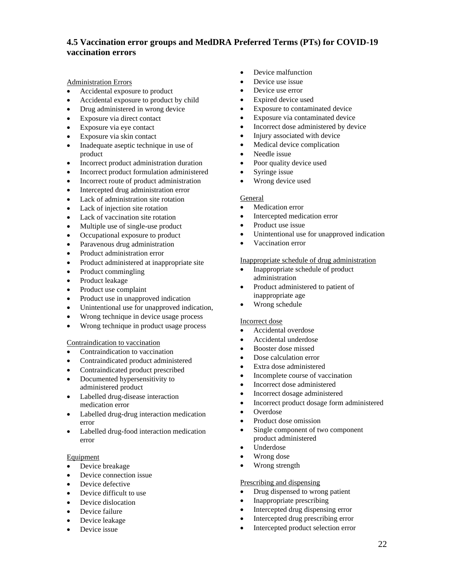#### **4.5 Vaccination error groups and MedDRA Preferred Terms (PTs) for COVID-19 vaccination errors**

Administration Errors

- Accidental exposure to product
- Accidental exposure to product by child
- Drug administered in wrong device
- Exposure via direct contact
- Exposure via eye contact
- Exposure via skin contact
- Inadequate aseptic technique in use of product
- Incorrect product administration duration
- Incorrect product formulation administered
- Incorrect route of product administration
- Intercepted drug administration error
- Lack of administration site rotation
- Lack of injection site rotation
- Lack of vaccination site rotation
- Multiple use of single-use product
- Occupational exposure to product
- Paravenous drug administration
- Product administration error
- Product administered at inappropriate site
- Product commingling
- Product leakage
- Product use complaint
- Product use in unapproved indication
- Unintentional use for unapproved indication,
- Wrong technique in device usage process
- Wrong technique in product usage process

#### Contraindication to vaccination

- Contraindication to vaccination
- Contraindicated product administered
- Contraindicated product prescribed
- Documented hypersensitivity to administered product
- Labelled drug-disease interaction medication error
- Labelled drug-drug interaction medication error
- Labelled drug-food interaction medication error

#### Equipment

- Device breakage
- Device connection issue
- Device defective
- Device difficult to use
- Device dislocation
- Device failure
- Device leakage
- Device issue
- Device malfunction
- Device use issue
- Device use error
- Expired device used
- Exposure to contaminated device
- Exposure via contaminated device
- Incorrect dose administered by device
- Injury associated with device
- Medical device complication
- Needle issue
- Poor quality device used
- Syringe issue
- Wrong device used

#### General

- Medication error
- Intercepted medication error
- Product use issue
- Unintentional use for unapproved indication
- Vaccination error

#### Inappropriate schedule of drug administration

- Inappropriate schedule of product administration
- Product administered to patient of inappropriate age
- Wrong schedule

#### Incorrect dose

- Accidental overdose
- Accidental underdose
- Booster dose missed
- Dose calculation error
- Extra dose administered
- Incomplete course of vaccination
- Incorrect dose administered
- Incorrect dosage administered
- Incorrect product dosage form administered
- Overdose
- Product dose omission
- Single component of two component product administered
- Underdose
- Wrong dose
- Wrong strength

#### Prescribing and dispensing

- Drug dispensed to wrong patient
- Inappropriate prescribing
- Intercepted drug dispensing error
- Intercepted drug prescribing error
- Intercepted product selection error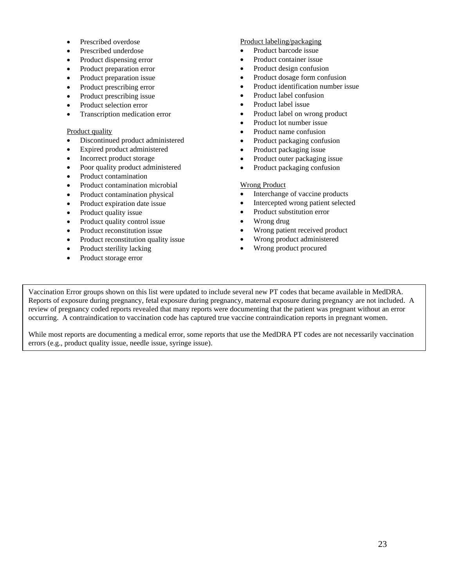- Prescribed overdose
- Prescribed underdose
- Product dispensing error
- Product preparation error
- Product preparation issue
- Product prescribing error
- Product prescribing issue
- Product selection error
- Transcription medication error

#### Product quality

- Discontinued product administered
- Expired product administered
- Incorrect product storage
- Poor quality product administered
- Product contamination
- Product contamination microbial
- Product contamination physical
- Product expiration date issue
- Product quality issue
- Product quality control issue
- Product reconstitution issue
- Product reconstitution quality issue
- Product sterility lacking
- Product storage error

#### Product labeling/packaging

- Product barcode issue
- Product container issue
- Product design confusion
- Product dosage form confusion
- Product identification number issue
- Product label confusion
- Product label issue
- Product label on wrong product
- Product lot number issue
- Product name confusion
- Product packaging confusion
- Product packaging issue
- Product outer packaging issue
- Product packaging confusion

#### Wrong Product

- Interchange of vaccine products
- Intercepted wrong patient selected
- Product substitution error
- Wrong drug
- Wrong patient received product
- Wrong product administered
- Wrong product procured

Vaccination Error groups shown on this list were updated to include several new PT codes that became available in MedDRA. Reports of exposure during pregnancy, fetal exposure during pregnancy, maternal exposure during pregnancy are not included. A review of pregnancy coded reports revealed that many reports were documenting that the patient was pregnant without an error occurring. A contraindication to vaccination code has captured true vaccine contraindication reports in pregnant women.

While most reports are documenting a medical error, some reports that use the MedDRA PT codes are not necessarily vaccination errors (e.g., product quality issue, needle issue, syringe issue).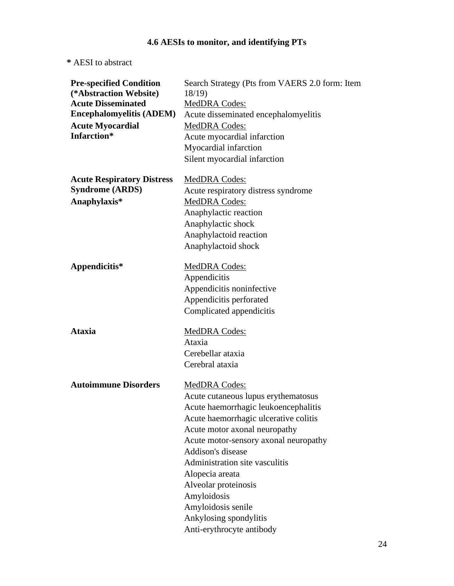## **4.6 AESIs to monitor, and identifying PTs**

**\*** AESI to abstract

| <b>Pre-specified Condition</b><br>(*Abstraction Website)<br><b>Acute Disseminated</b> | Search Strategy (Pts from VAERS 2.0 form: Item<br>18/19<br>MedDRA Codes: |
|---------------------------------------------------------------------------------------|--------------------------------------------------------------------------|
| <b>Encephalomyelitis (ADEM)</b>                                                       | Acute disseminated encephalomyelitis                                     |
| <b>Acute Myocardial</b>                                                               | <b>MedDRA Codes:</b>                                                     |
| Infarction*                                                                           | Acute myocardial infarction                                              |
|                                                                                       | Myocardial infarction                                                    |
|                                                                                       | Silent myocardial infarction                                             |
| <b>Acute Respiratory Distress</b>                                                     | MedDRA Codes:                                                            |
| <b>Syndrome (ARDS)</b>                                                                | Acute respiratory distress syndrome                                      |
| Anaphylaxis*                                                                          | MedDRA Codes:                                                            |
|                                                                                       | Anaphylactic reaction                                                    |
|                                                                                       | Anaphylactic shock                                                       |
|                                                                                       | Anaphylactoid reaction                                                   |
|                                                                                       | Anaphylactoid shock                                                      |
| Appendicitis*                                                                         | <b>MedDRA Codes:</b>                                                     |
|                                                                                       | Appendicitis                                                             |
|                                                                                       | Appendicitis noninfective                                                |
|                                                                                       | Appendicitis perforated                                                  |
|                                                                                       | Complicated appendicitis                                                 |
| <b>Ataxia</b>                                                                         | MedDRA Codes:                                                            |
|                                                                                       | Ataxia                                                                   |
|                                                                                       | Cerebellar ataxia                                                        |
|                                                                                       | Cerebral ataxia                                                          |
| <b>Autoimmune Disorders</b>                                                           | <b>MedDRA Codes:</b>                                                     |
|                                                                                       | Acute cutaneous lupus erythematosus                                      |
|                                                                                       | Acute haemorrhagic leukoencephalitis                                     |
|                                                                                       | Acute haemorrhagic ulcerative colitis                                    |
|                                                                                       | Acute motor axonal neuropathy                                            |
|                                                                                       | Acute motor-sensory axonal neuropathy                                    |
|                                                                                       | Addison's disease                                                        |
|                                                                                       | Administration site vasculitis                                           |
|                                                                                       | Alopecia areata                                                          |
|                                                                                       | Alveolar proteinosis                                                     |
|                                                                                       | Amyloidosis                                                              |
|                                                                                       | Amyloidosis senile                                                       |
|                                                                                       | Ankylosing spondylitis                                                   |
|                                                                                       | Anti-erythrocyte antibody                                                |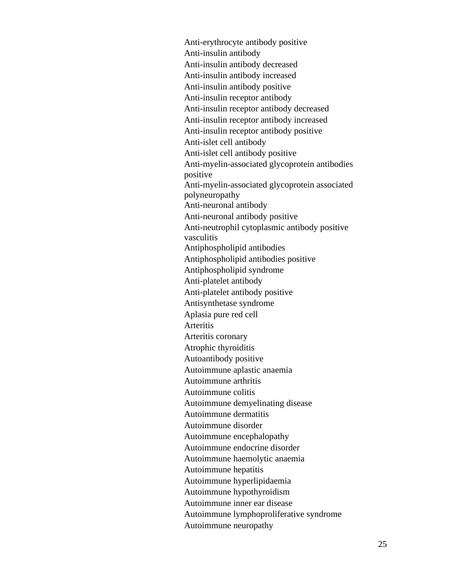Anti-erythrocyte antibody positive Anti-insulin antibody Anti-insulin antibody decreased Anti-insulin antibody increased Anti-insulin antibody positive Anti-insulin receptor antibody Anti-insulin receptor antibody decreased Anti-insulin receptor antibody increased Anti-insulin receptor antibody positive Anti-islet cell antibody Anti-islet cell antibody positive Anti-myelin-associated glycoprotein antibodies positive Anti-myelin-associated glycoprotein associated polyneuropathy Anti-neuronal antibody Anti-neuronal antibody positive Anti-neutrophil cytoplasmic antibody positive vasculitis Antiphospholipid antibodies Antiphospholipid antibodies positive Antiphospholipid syndrome Anti-platelet antibody Anti-platelet antibody positive Antisynthetase syndrome Aplasia pure red cell Arteritis Arteritis coronary Atrophic thyroiditis Autoantibody positive Autoimmune aplastic anaemia Autoimmune arthritis Autoimmune colitis Autoimmune demyelinating disease Autoimmune dermatitis Autoimmune disorder Autoimmune encephalopathy Autoimmune endocrine disorder Autoimmune haemolytic anaemia Autoimmune hepatitis Autoimmune hyperlipidaemia Autoimmune hypothyroidism Autoimmune inner ear disease Autoimmune lymphoproliferative syndrome Autoimmune neuropathy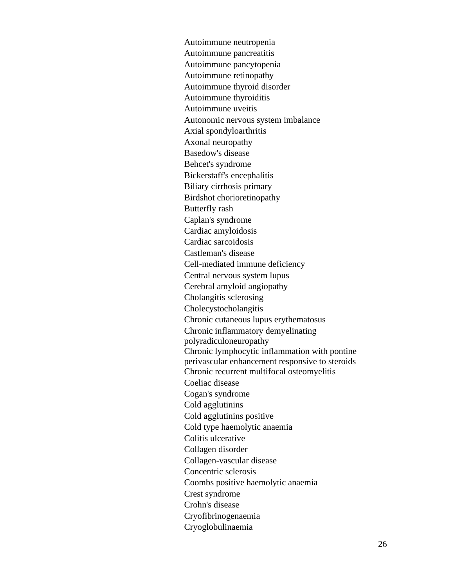Autoimmune neutropenia Autoimmune pancreatitis Autoimmune pancytopenia Autoimmune retinopathy Autoimmune thyroid disorder Autoimmune thyroiditis Autoimmune uveitis Autonomic nervous system imbalance Axial spondyloarthritis Axonal neuropathy Basedow's disease Behcet's syndrome Bickerstaff's encephalitis Biliary cirrhosis primary Birdshot chorioretinopathy Butterfly rash Caplan's syndrome Cardiac amyloidosis Cardiac sarcoidosis Castleman's disease Cell-mediated immune deficiency Central nervous system lupus Cerebral amyloid angiopathy Cholangitis sclerosing Cholecystocholangitis Chronic cutaneous lupus erythematosus Chronic inflammatory demyelinating polyradiculoneuropathy Chronic lymphocytic inflammation with pontine perivascular enhancement responsive to steroids Chronic recurrent multifocal osteomyelitis Coeliac disease Cogan's syndrome Cold agglutinins Cold agglutinins positive Cold type haemolytic anaemia Colitis ulcerative Collagen disorder Collagen-vascular disease Concentric sclerosis Coombs positive haemolytic anaemia Crest syndrome Crohn's disease Cryofibrinogenaemia Cryoglobulinaemia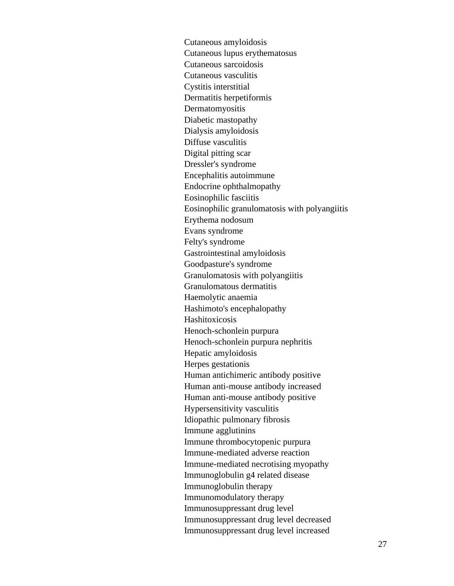Cutaneous amyloidosis Cutaneous lupus erythematosus Cutaneous sarcoidosis Cutaneous vasculitis Cystitis interstitial Dermatitis herpetiformis Dermatomyositis Diabetic mastopathy Dialysis amyloidosis Diffuse vasculitis Digital pitting scar Dressler's syndrome Encephalitis autoimmune Endocrine ophthalmopathy Eosinophilic fasciitis Eosinophilic granulomatosis with polyangiitis Erythema nodosum Evans syndrome Felty's syndrome Gastrointestinal amyloidosis Goodpasture's syndrome Granulomatosis with polyangiitis Granulomatous dermatitis Haemolytic anaemia Hashimoto's encephalopathy Hashitoxicosis Henoch-schonlein purpura Henoch-schonlein purpura nephritis Hepatic amyloidosis Herpes gestationis Human antichimeric antibody positive Human anti-mouse antibody increased Human anti-mouse antibody positive Hypersensitivity vasculitis Idiopathic pulmonary fibrosis Immune agglutinins Immune thrombocytopenic purpura Immune-mediated adverse reaction Immune-mediated necrotising myopathy Immunoglobulin g4 related disease Immunoglobulin therapy Immunomodulatory therapy Immunosuppressant drug level Immunosuppressant drug level decreased Immunosuppressant drug level increased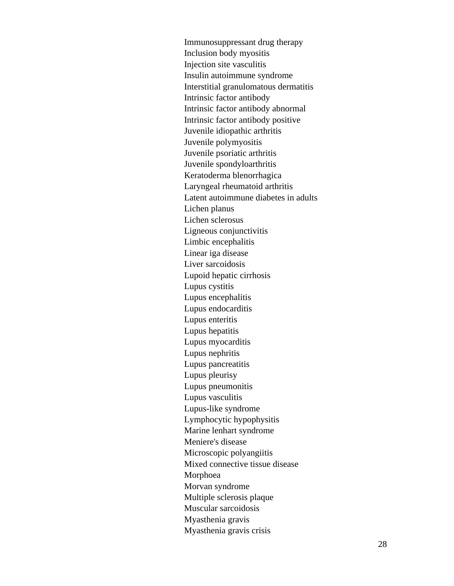Immunosuppressant drug therapy Inclusion body myositis Injection site vasculitis Insulin autoimmune syndrome Interstitial granulomatous dermatitis Intrinsic factor antibody Intrinsic factor antibody abnormal Intrinsic factor antibody positive Juvenile idiopathic arthritis Juvenile polymyositis Juvenile psoriatic arthritis Juvenile spondyloarthritis Keratoderma blenorrhagica Laryngeal rheumatoid arthritis Latent autoimmune diabetes in adults Lichen planus Lichen sclerosus Ligneous conjunctivitis Limbic encephalitis Linear iga disease Liver sarcoidosis Lupoid hepatic cirrhosis Lupus cystitis Lupus encephalitis Lupus endocarditis Lupus enteritis Lupus hepatitis Lupus myocarditis Lupus nephritis Lupus pancreatitis Lupus pleurisy Lupus pneumonitis Lupus vasculitis Lupus -like syndrome Lymphocytic hypophysitis Marine lenhart syndrome Meniere's disease Microscopic polyangiitis Mixed connective tissue disease Morphoea Morvan syndrome Multiple sclerosis plaque Muscular sarcoidosis Myasthenia gravis Myasthenia gravis crisis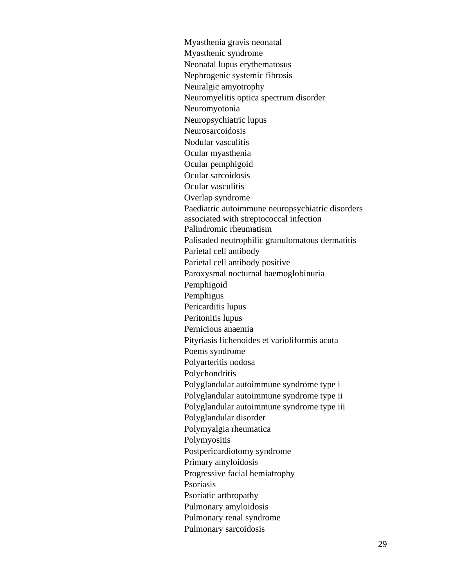Myasthenia gravis neonatal Myasthenic syndrome Neonatal lupus erythematosus Nephrogenic systemic fibrosis Neuralgic amyotrophy Neuromyelitis optica spectrum disorder Neuromyotonia Neuropsychiatric lupus Neurosarcoidosis Nodular vasculitis Ocular myasthenia Ocular pemphigoid Ocular sarcoidosis Ocular vasculitis Overlap syndrome Paediatric autoimmune neuropsychiatric disorders associated with streptococcal infection Palindromic rheumatism Palisaded neutrophilic granulomatous dermatitis Parietal cell antibody Parietal cell antibody positive Paroxysmal nocturnal haemoglobinuria Pemphigoid Pemphigus Pericarditis lupus Peritonitis lupus Pernicious anaemia Pityriasis lichenoides et varioliformis acuta Poems syndrome Polyarteritis nodosa Polychondritis Polyglandular autoimmune syndrome type i Polyglandular autoimmune syndrome type ii Polyglandular autoimmune syndrome type iii Polyglandular disorder Polymyalgia rheumatica Polymyositis Postpericardiotomy syndrome Primary amyloidosis Progressive facial hemiatrophy Psoriasis Psoriatic arthropathy Pulmonary amyloidosis Pulmonary renal syndrome Pulmonary sarcoidosis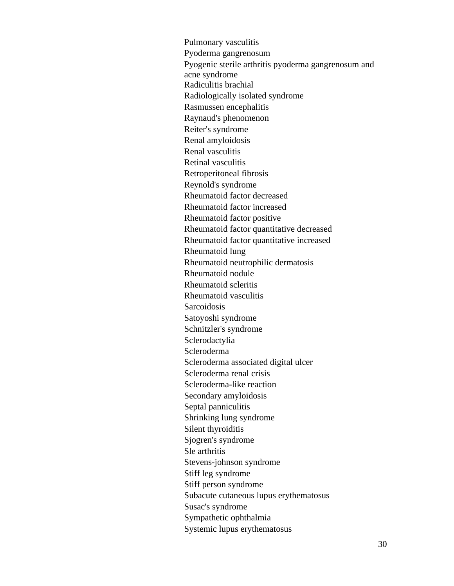Pulmonary vasculitis Pyoderma gangrenosum Pyogenic sterile arthritis pyoderma gangrenosum and acne syndrome Radiculitis brachial Radiologically isolated syndrome Rasmussen encephalitis Raynaud's phenomenon Reiter's syndrome Renal amyloidosis Renal vasculitis Retinal vasculitis Retroperitoneal fibrosis Reynold's syndrome Rheumatoid factor decreased Rheumatoid factor increased Rheumatoid factor positive Rheumatoid factor quantitative decreased Rheumatoid factor quantitative increased Rheumatoid lung Rheumatoid neutrophilic dermatosis Rheumatoid nodule Rheumatoid scleritis Rheumatoid vasculitis **Sarcoidosis** Satoyoshi syndrome Schnitzler's syndrome Sclerodactylia Scleroderma Scleroderma associated digital ulcer Scleroderma renal crisis Scleroderma-like reaction Secondary amyloidosis Septal panniculitis Shrinking lung syndrome Silent thyroiditis Sjogren's syndrome Sle arthritis Stevens-johnson syndrome Stiff leg syndrome Stiff person syndrome Subacute cutaneous lupus erythematosus Susac's syndrome Sympathetic ophthalmia Systemic lupus erythematosus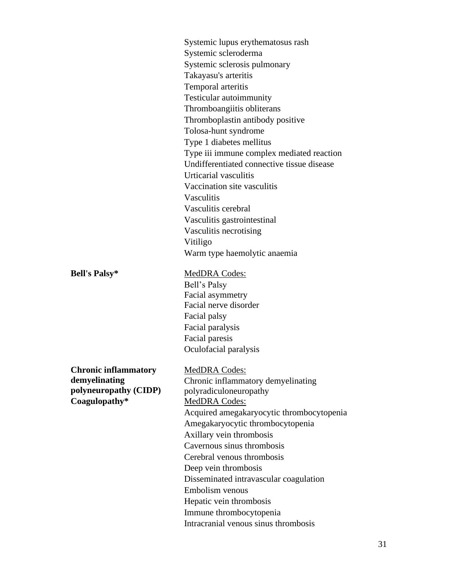Systemic lupus erythematosus rash Systemic scleroderma Systemic sclerosis pulmonary Takayasu's arteritis Temporal arteritis Testicular autoimmunity Thromboangiitis obliterans Thromboplastin antibody positive Tolosa-hunt syndrome Type 1 diabetes mellitus Type iii immune complex mediated reaction Undifferentiated connective tissue disease Urticarial vasculitis Vaccination site vasculitis **Vasculitis** Vasculitis cerebral Vasculitis gastrointestinal Vasculitis necrotising Vitiligo Warm type haemolytic anaemia **Bell's Palsy\*** MedDRA Codes:

Bell's Palsy

Facial asymmetry Facial nerve disorder

Facial palsy Facial paralysis Facial paresis Oculofacial paralysis **Chronic inflammatory demyelinating polyneuropathy (CIDP)**

MedDRA Codes: Chronic inflammatory demyelinating polyradiculoneuropathy Coagulopathy\* MedDRA Codes: Acquired amegakaryocytic thrombocytopenia Amegakaryocytic thrombocytopenia Axillary vein thrombosis Cavernous sinus thrombosis Cerebral venous thrombosis Deep vein thrombosis Disseminated intravascular coagulation Embolism venous Hepatic vein thrombosis Immune thrombocytopenia Intracranial venous sinus thrombosis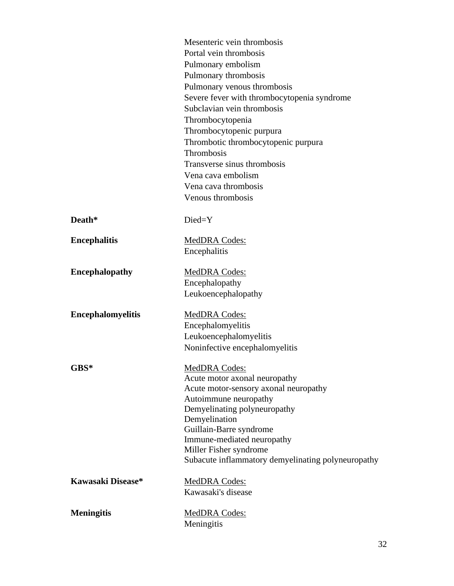|                          | Mesenteric vein thrombosis                            |
|--------------------------|-------------------------------------------------------|
|                          | Portal vein thrombosis                                |
|                          | Pulmonary embolism                                    |
|                          | Pulmonary thrombosis                                  |
|                          | Pulmonary venous thrombosis                           |
|                          | Severe fever with thrombocytopenia syndrome           |
|                          | Subclavian vein thrombosis                            |
|                          | Thrombocytopenia                                      |
|                          | Thrombocytopenic purpura                              |
|                          | Thrombotic thrombocytopenic purpura                   |
|                          | Thrombosis                                            |
|                          | Transverse sinus thrombosis                           |
|                          | Vena cava embolism                                    |
|                          | Vena cava thrombosis                                  |
|                          | Venous thrombosis                                     |
| Death*                   | Died=Y                                                |
| <b>Encephalitis</b>      | MedDRA Codes:                                         |
|                          | Encephalitis                                          |
|                          |                                                       |
| <b>Encephalopathy</b>    | <b>MedDRA Codes:</b>                                  |
|                          | Encephalopathy                                        |
|                          | Leukoencephalopathy                                   |
| <b>Encephalomyelitis</b> | MedDRA Codes:                                         |
|                          | Encephalomyelitis                                     |
|                          | Leukoencephalomyelitis                                |
|                          | Noninfective encephalomyelitis                        |
| $GBS*$                   | <b>MedDRA Codes:</b>                                  |
|                          | Acute motor axonal neuropathy                         |
|                          | Acute motor-sensory axonal neuropathy                 |
|                          | Autoimmune neuropathy                                 |
|                          | Demyelinating polyneuropathy                          |
|                          | Demyelination                                         |
|                          | Guillain-Barre syndrome<br>Immune-mediated neuropathy |
|                          | Miller Fisher syndrome                                |
|                          | Subacute inflammatory demyelinating polyneuropathy    |
| Kawasaki Disease*        | <b>MedDRA Codes:</b>                                  |
|                          | Kawasaki's disease                                    |
|                          |                                                       |
| <b>Meningitis</b>        | <b>MedDRA Codes:</b>                                  |
|                          | Meningitis                                            |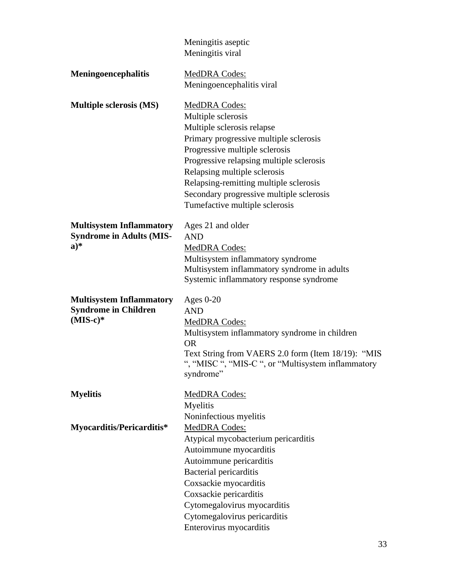|                                                                              | Meningitis aseptic<br>Meningitis viral                                                                                                                                                                                                                                                                                                            |
|------------------------------------------------------------------------------|---------------------------------------------------------------------------------------------------------------------------------------------------------------------------------------------------------------------------------------------------------------------------------------------------------------------------------------------------|
| <b>Meningoencephalitis</b>                                                   | MedDRA Codes:<br>Meningoencephalitis viral                                                                                                                                                                                                                                                                                                        |
| <b>Multiple sclerosis (MS)</b>                                               | MedDRA Codes:<br>Multiple sclerosis<br>Multiple sclerosis relapse<br>Primary progressive multiple sclerosis<br>Progressive multiple sclerosis<br>Progressive relapsing multiple sclerosis<br>Relapsing multiple sclerosis<br>Relapsing-remitting multiple sclerosis<br>Secondary progressive multiple sclerosis<br>Tumefactive multiple sclerosis |
| <b>Multisystem Inflammatory</b><br><b>Syndrome in Adults (MIS-</b><br>$a)*$  | Ages 21 and older<br><b>AND</b><br><b>MedDRA Codes:</b><br>Multisystem inflammatory syndrome<br>Multisystem inflammatory syndrome in adults<br>Systemic inflammatory response syndrome                                                                                                                                                            |
| <b>Multisystem Inflammatory</b><br><b>Syndrome in Children</b><br>$(MIS-c)*$ | Ages $0-20$<br><b>AND</b><br>MedDRA Codes:<br>Multisystem inflammatory syndrome in children<br><b>OR</b><br>Text String from VAERS 2.0 form (Item 18/19): "MIS<br>", "MISC ", "MIS-C ", or "Multisystem inflammatory<br>syndrome"                                                                                                                 |
| <b>Myelitis</b>                                                              | MedDRA Codes:<br>Myelitis<br>Noninfectious myelitis                                                                                                                                                                                                                                                                                               |
| Myocarditis/Pericarditis*                                                    | MedDRA Codes:<br>Atypical mycobacterium pericarditis<br>Autoimmune myocarditis<br>Autoimmune pericarditis<br><b>Bacterial pericarditis</b><br>Coxsackie myocarditis<br>Coxsackie pericarditis<br>Cytomegalovirus myocarditis<br>Cytomegalovirus pericarditis<br>Enterovirus myocarditis                                                           |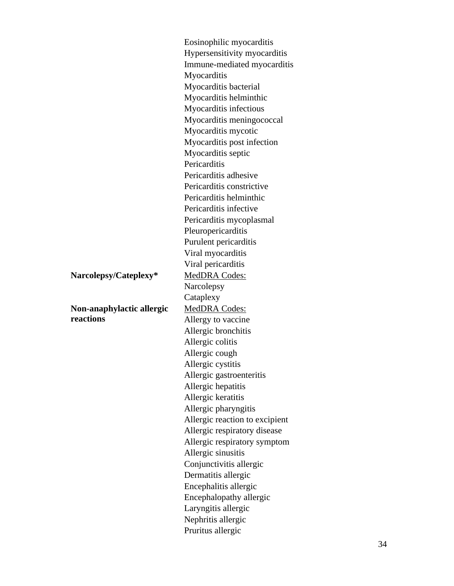Eosinophilic myocarditis Hypersensitivity myocarditis Immune -mediated myocarditis **Myocarditis** Myocarditis bacterial Myocarditis helminthic Myocarditis infectious Myocarditis meningococcal Myocarditis mycotic Myocarditis post infection Myocarditis septic **Pericarditis** Pericarditis adhesive Pericarditis constrictive Pericarditis helminthic Pericarditis infective Pericarditis mycoplasmal Pleuropericarditis Purulent pericarditis Viral myocarditis Viral pericarditis **Narcolepsy** Cataplexy MedDRA Codes: Allergy to vaccine Allergic bronchitis Allergic colitis Allergic cough Allergic cystitis Allergic gastroenteritis Allergic hepatitis Allergic keratitis Allergic pharyngitis Allergic reaction to excipient Allergic respiratory disease Allergic respiratory symptom Allergic sinusitis Conjunctivitis allergic Dermatitis allergic Encephalitis allergic Encephalopathy allergic Laryngitis allergic Nephritis allergic Pruritus allergic

Narcolepsy/Cateplexy\* MedDRA Codes:

**Non -anaphylactic allergic reactions**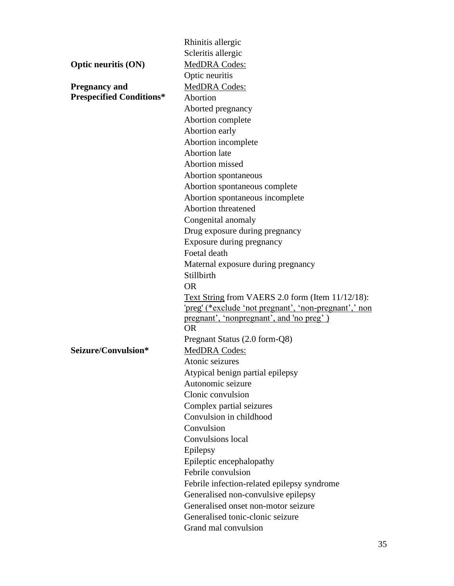|                                 | Rhinitis allergic                                     |  |  |
|---------------------------------|-------------------------------------------------------|--|--|
|                                 | Scleritis allergic                                    |  |  |
| <b>Optic neuritis (ON)</b>      | MedDRA Codes:                                         |  |  |
|                                 | Optic neuritis                                        |  |  |
| <b>Pregnancy and</b>            | MedDRA Codes:                                         |  |  |
| <b>Prespecified Conditions*</b> | Abortion                                              |  |  |
|                                 | Aborted pregnancy                                     |  |  |
|                                 | Abortion complete                                     |  |  |
|                                 | Abortion early                                        |  |  |
|                                 | Abortion incomplete                                   |  |  |
|                                 | <b>Abortion</b> late                                  |  |  |
|                                 | Abortion missed                                       |  |  |
|                                 | Abortion spontaneous                                  |  |  |
|                                 | Abortion spontaneous complete                         |  |  |
|                                 | Abortion spontaneous incomplete                       |  |  |
|                                 | <b>Abortion threatened</b>                            |  |  |
|                                 | Congenital anomaly                                    |  |  |
|                                 | Drug exposure during pregnancy                        |  |  |
|                                 | Exposure during pregnancy                             |  |  |
|                                 | Foetal death                                          |  |  |
|                                 | Maternal exposure during pregnancy                    |  |  |
|                                 | Stillbirth                                            |  |  |
|                                 | <b>OR</b>                                             |  |  |
|                                 | Text String from VAERS 2.0 form (Item 11/12/18):      |  |  |
|                                 | 'preg' (*exclude 'not pregnant', 'non-pregnant', 'non |  |  |
|                                 | pregnant', 'nonpregnant', and 'no preg')              |  |  |
|                                 | <b>OR</b>                                             |  |  |
|                                 | Pregnant Status (2.0 form-Q8)                         |  |  |
| Seizure/Convulsion*             | MedDRA Codes:                                         |  |  |
|                                 | Atonic seizures                                       |  |  |
|                                 | Atypical benign partial epilepsy                      |  |  |
|                                 | Autonomic seizure                                     |  |  |
|                                 | Clonic convulsion                                     |  |  |
|                                 | Complex partial seizures                              |  |  |
|                                 | Convulsion in childhood                               |  |  |
|                                 | Convulsion                                            |  |  |
|                                 | <b>Convulsions</b> local                              |  |  |
|                                 | Epilepsy                                              |  |  |
|                                 | Epileptic encephalopathy                              |  |  |
|                                 | Febrile convulsion                                    |  |  |
|                                 | Febrile infection-related epilepsy syndrome           |  |  |
|                                 | Generalised non-convulsive epilepsy                   |  |  |
|                                 | Generalised onset non-motor seizure                   |  |  |
|                                 | Generalised tonic-clonic seizure                      |  |  |
|                                 | Grand mal convulsion                                  |  |  |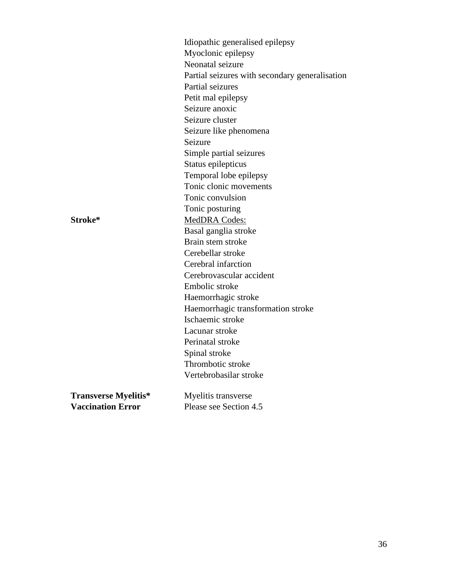|                             | Idiopathic generalised epilepsy                |
|-----------------------------|------------------------------------------------|
|                             | Myoclonic epilepsy                             |
|                             | Neonatal seizure                               |
|                             | Partial seizures with secondary generalisation |
|                             | Partial seizures                               |
|                             | Petit mal epilepsy                             |
|                             | Seizure anoxic                                 |
|                             | Seizure cluster                                |
|                             | Seizure like phenomena                         |
|                             | Seizure                                        |
|                             | Simple partial seizures                        |
|                             | Status epilepticus                             |
|                             | Temporal lobe epilepsy                         |
|                             | Tonic clonic movements                         |
|                             | Tonic convulsion                               |
|                             | Tonic posturing                                |
| Stroke*                     | MedDRA Codes:                                  |
|                             | Basal ganglia stroke                           |
|                             | Brain stem stroke                              |
|                             | Cerebellar stroke                              |
|                             | Cerebral infarction                            |
|                             | Cerebrovascular accident                       |
|                             | Embolic stroke                                 |
|                             | Haemorrhagic stroke                            |
|                             | Haemorrhagic transformation stroke             |
|                             | Ischaemic stroke                               |
|                             | Lacunar stroke                                 |
|                             | Perinatal stroke                               |
|                             | Spinal stroke                                  |
|                             | Thrombotic stroke                              |
|                             | Vertebrobasilar stroke                         |
| <b>Transverse Myelitis*</b> | Myelitis transverse                            |
| <b>Vaccination Error</b>    | Please see Section 4.5                         |

36